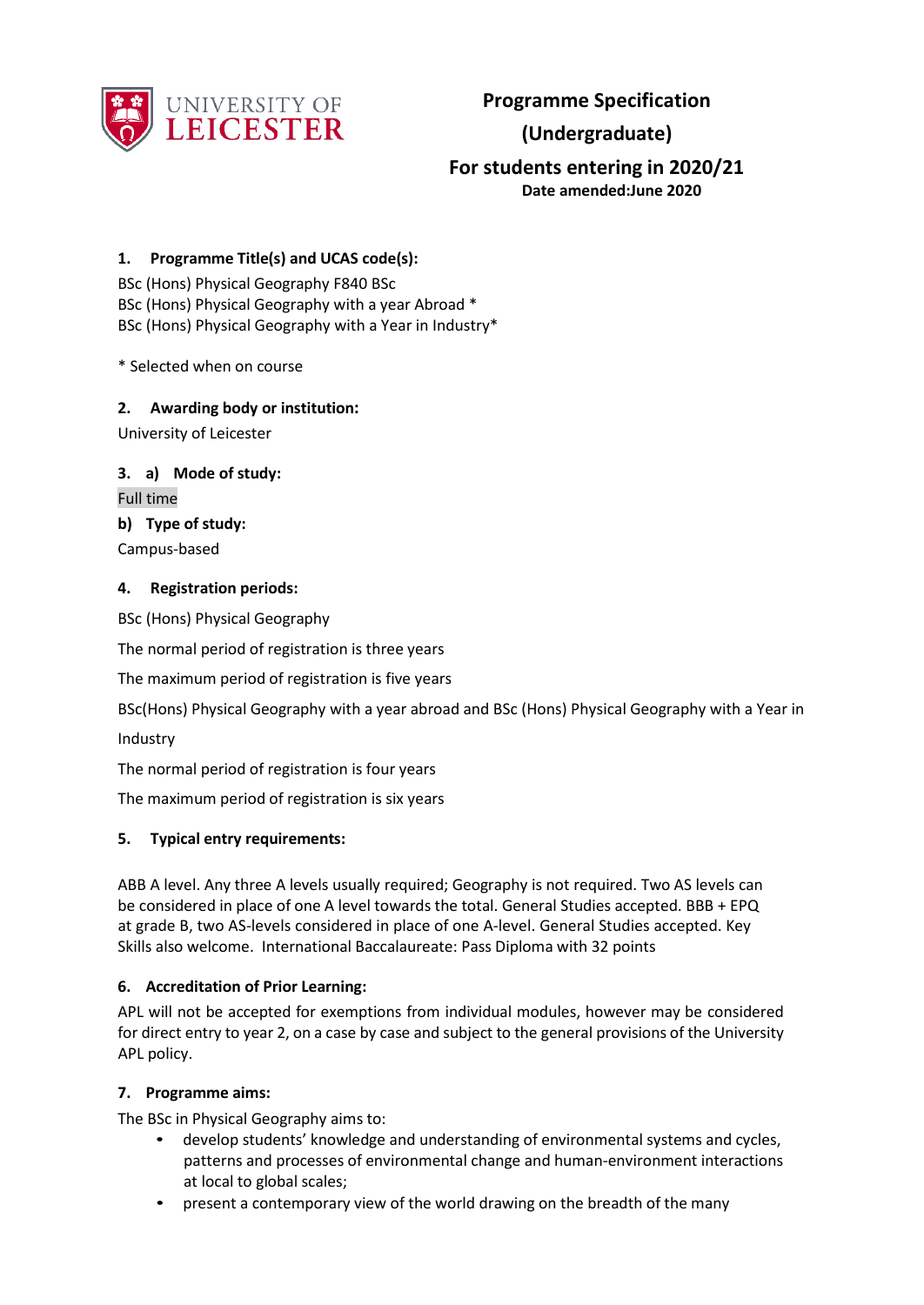

**Programme Specification**

# **(Undergraduate)**

# **For students entering in 2020/21 Date amended:June 2020**

## **1. Programme Title(s) and UCAS code(s):**

BSc (Hons) Physical Geography F840 BSc BSc (Hons) Physical Geography with a year Abroad \* BSc (Hons) Physical Geography with a Year in Industry\*

\* Selected when on course

### **2. Awarding body or institution:**

University of Leicester

### **3. a) Mode of study:**

Full time

### **b) Type of study:**

Campus-based

### **4. Registration periods:**

BSc (Hons) Physical Geography

The normal period of registration is three years

The maximum period of registration is five years

BSc(Hons) Physical Geography with a year abroad and BSc (Hons) Physical Geography with a Year in

Industry

The normal period of registration is four years

The maximum period of registration is six years

### **5. Typical entry requirements:**

ABB A level. Any three A levels usually required; Geography is not required. Two AS levels can be considered in place of one A level towards the total. General Studies accepted. BBB + EPQ at grade B, two AS-levels considered in place of one A-level. General Studies accepted. Key Skills also welcome. International Baccalaureate: Pass Diploma with 32 points

### **6. Accreditation of Prior Learning:**

APL will not be accepted for exemptions from individual modules, however may be considered for direct entry to year 2, on a case by case and subject to the general provisions of the University APL policy.

### **7. Programme aims:**

The BSc in Physical Geography aims to:

- develop students' knowledge and understanding of environmental systems and cycles, patterns and processes of environmental change and human-environment interactions at local to global scales;
- present a contemporary view of the world drawing on the breadth of the many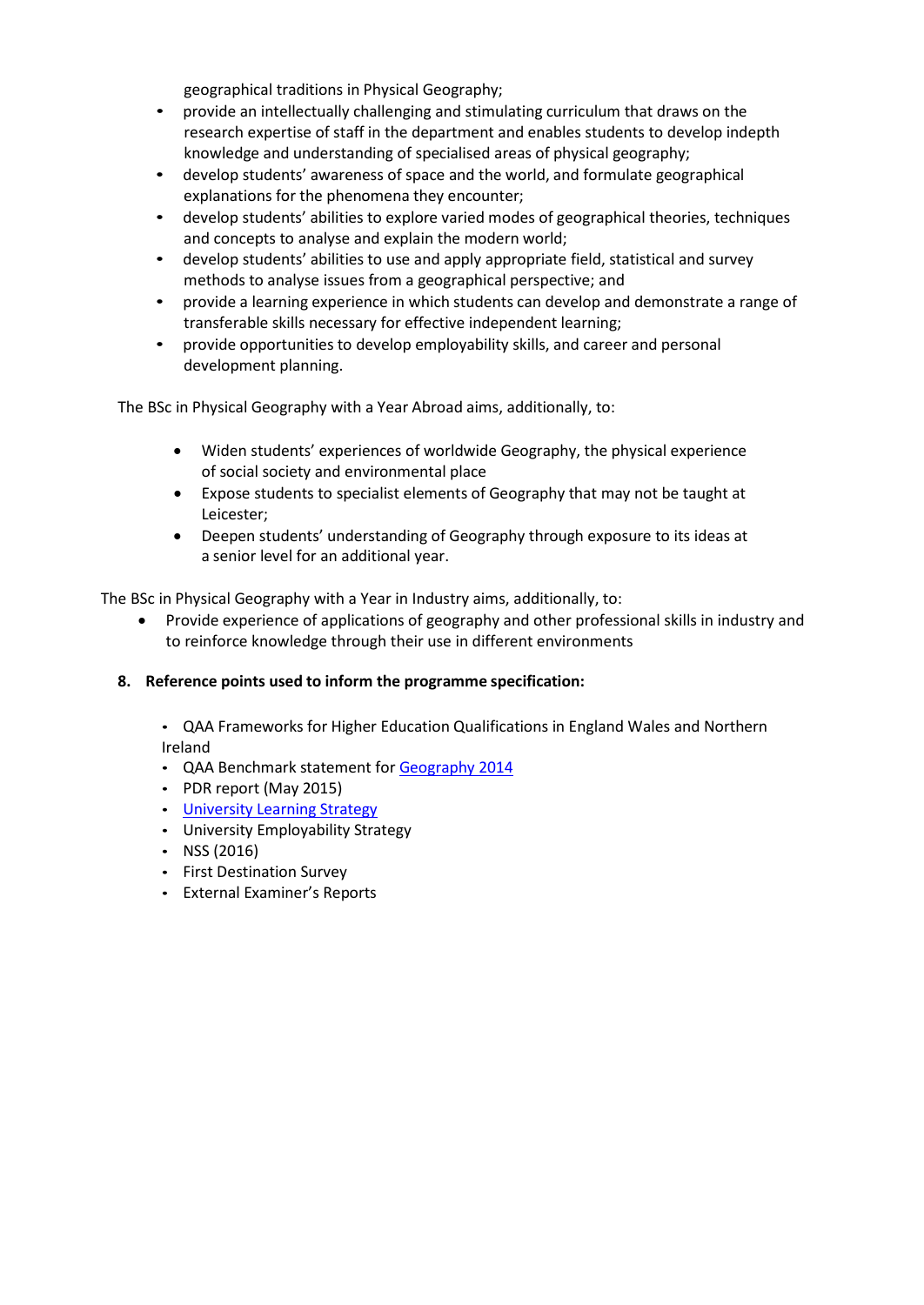geographical traditions in Physical Geography;

- provide an intellectually challenging and stimulating curriculum that draws on the research expertise of staff in the department and enables students to develop indepth knowledge and understanding of specialised areas of physical geography;
- develop students' awareness of space and the world, and formulate geographical explanations for the phenomena they encounter;
- develop students' abilities to explore varied modes of geographical theories, techniques and concepts to analyse and explain the modern world;
- develop students' abilities to use and apply appropriate field, statistical and survey methods to analyse issues from a geographical perspective; and
- provide a learning experience in which students can develop and demonstrate a range of transferable skills necessary for effective independent learning;
- provide opportunities to develop employability skills, and career and personal development planning.

The BSc in Physical Geography with a Year Abroad aims, additionally, to:

- Widen students' experiences of worldwide Geography, the physical experience of social society and environmental place
- Expose students to specialist elements of Geography that may not be taught at Leicester;
- Deepen students' understanding of Geography through exposure to its ideas at a senior level for an additional year.

The BSc in Physical Geography with a Year in Industry aims, additionally, to:

• Provide experience of applications of geography and other professional skills in industry and to reinforce knowledge through their use in different environments

### **8. Reference points used to inform the programme specification:**

• QAA Frameworks for Higher Education Qualifications in England Wales and Northern Ireland

- QAA Benchmark statement fo[r Geography](http://www.qaa.ac.uk/en/Publications/Documents/SBS-geography-14.pdf) 2014
- PDR report (May 2015)
- University [Learning Strategy](http://www2.le.ac.uk/offices/sas2/quality/learnteach)
- University Employability Strategy
- NSS  $(2016)$
- First Destination Survey
- External Examiner's Reports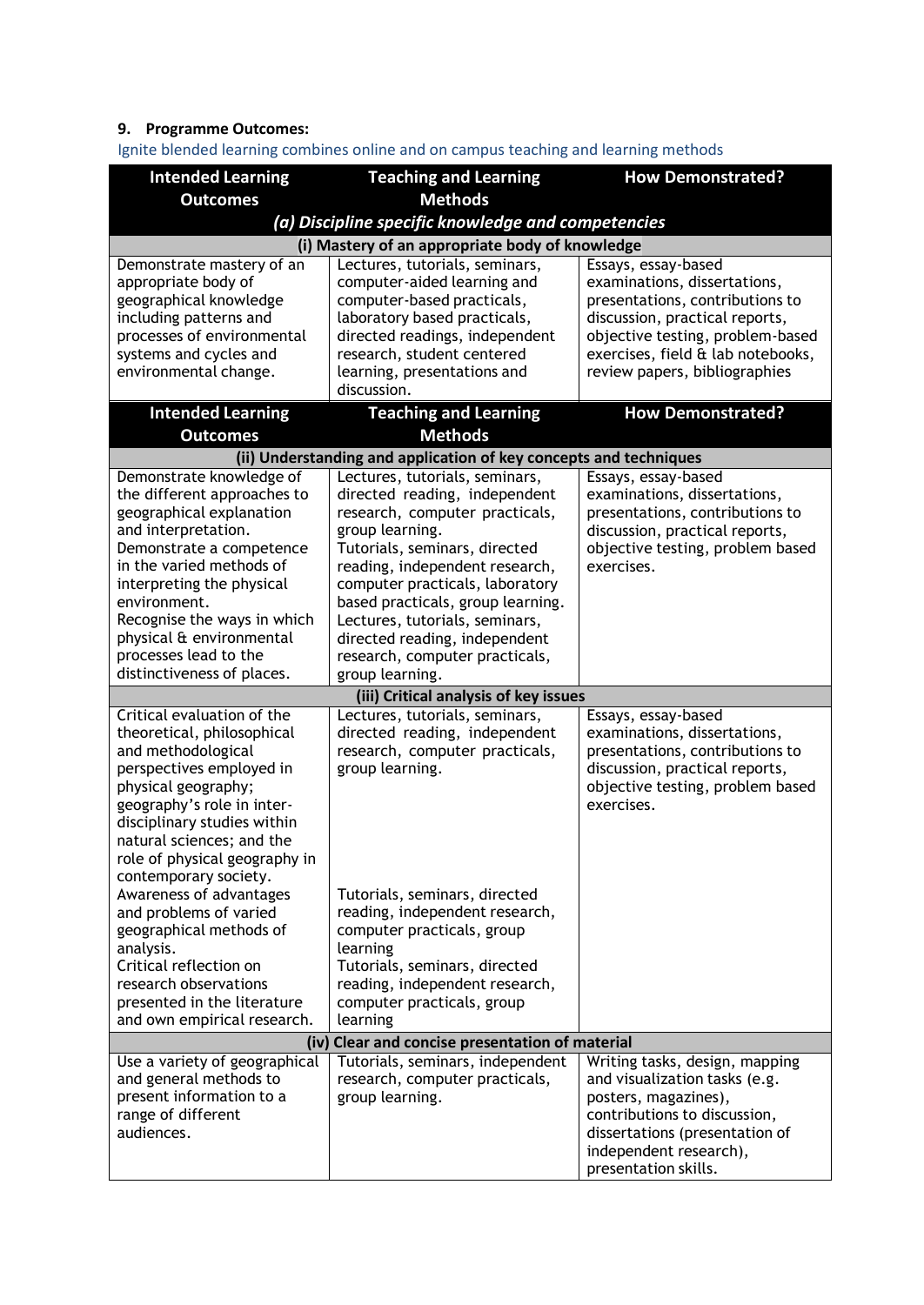# **9. Programme Outcomes:**

Ignite blended learning combines online and on campus teaching and learning methods

| <b>Intended Learning</b>                         | <b>Teaching and Learning</b>                                      | <b>How Demonstrated?</b>                                          |  |  |
|--------------------------------------------------|-------------------------------------------------------------------|-------------------------------------------------------------------|--|--|
| <b>Outcomes</b>                                  | <b>Methods</b>                                                    |                                                                   |  |  |
|                                                  | (a) Discipline specific knowledge and competencies                |                                                                   |  |  |
|                                                  | (i) Mastery of an appropriate body of knowledge                   |                                                                   |  |  |
| Demonstrate mastery of an                        | Lectures, tutorials, seminars,                                    | Essays, essay-based                                               |  |  |
| appropriate body of                              | computer-aided learning and                                       | examinations, dissertations,                                      |  |  |
| geographical knowledge                           | computer-based practicals,                                        | presentations, contributions to                                   |  |  |
| including patterns and                           | laboratory based practicals,                                      | discussion, practical reports,                                    |  |  |
| processes of environmental                       | directed readings, independent                                    | objective testing, problem-based                                  |  |  |
| systems and cycles and                           | research, student centered                                        | exercises, field & lab notebooks,                                 |  |  |
| environmental change.                            | learning, presentations and<br>discussion.                        | review papers, bibliographies                                     |  |  |
|                                                  |                                                                   |                                                                   |  |  |
| <b>Intended Learning</b>                         | <b>Teaching and Learning</b>                                      | <b>How Demonstrated?</b>                                          |  |  |
| <b>Outcomes</b>                                  | <b>Methods</b>                                                    |                                                                   |  |  |
|                                                  | (ii) Understanding and application of key concepts and techniques |                                                                   |  |  |
| Demonstrate knowledge of                         | Lectures, tutorials, seminars,                                    | Essays, essay-based                                               |  |  |
| the different approaches to                      | directed reading, independent                                     | examinations, dissertations,                                      |  |  |
| geographical explanation<br>and interpretation.  | research, computer practicals,                                    | presentations, contributions to<br>discussion, practical reports, |  |  |
| Demonstrate a competence                         | group learning.<br>Tutorials, seminars, directed                  | objective testing, problem based                                  |  |  |
| in the varied methods of                         | reading, independent research,                                    | exercises.                                                        |  |  |
| interpreting the physical                        | computer practicals, laboratory                                   |                                                                   |  |  |
| environment.                                     | based practicals, group learning.                                 |                                                                   |  |  |
| Recognise the ways in which                      | Lectures, tutorials, seminars,                                    |                                                                   |  |  |
| physical & environmental                         | directed reading, independent                                     |                                                                   |  |  |
| processes lead to the                            | research, computer practicals,                                    |                                                                   |  |  |
| distinctiveness of places.                       | group learning.                                                   |                                                                   |  |  |
|                                                  | (iii) Critical analysis of key issues                             |                                                                   |  |  |
| Critical evaluation of the                       | Lectures, tutorials, seminars,                                    | Essays, essay-based                                               |  |  |
| theoretical, philosophical                       | directed reading, independent                                     | examinations, dissertations,                                      |  |  |
| and methodological                               | research, computer practicals,                                    | presentations, contributions to                                   |  |  |
| perspectives employed in                         | group learning.                                                   | discussion, practical reports,                                    |  |  |
| physical geography;                              |                                                                   | objective testing, problem based                                  |  |  |
| geography's role in inter-                       |                                                                   | exercises.                                                        |  |  |
| disciplinary studies within                      |                                                                   |                                                                   |  |  |
| natural sciences; and the                        |                                                                   |                                                                   |  |  |
| role of physical geography in                    |                                                                   |                                                                   |  |  |
| contemporary society.<br>Awareness of advantages | Tutorials, seminars, directed                                     |                                                                   |  |  |
| and problems of varied                           | reading, independent research,                                    |                                                                   |  |  |
| geographical methods of                          | computer practicals, group                                        |                                                                   |  |  |
| analysis.                                        | learning                                                          |                                                                   |  |  |
| Critical reflection on                           | Tutorials, seminars, directed                                     |                                                                   |  |  |
| research observations                            | reading, independent research,                                    |                                                                   |  |  |
| presented in the literature                      | computer practicals, group                                        |                                                                   |  |  |
| and own empirical research.                      | learning                                                          |                                                                   |  |  |
| (iv) Clear and concise presentation of material  |                                                                   |                                                                   |  |  |
| Use a variety of geographical                    | Tutorials, seminars, independent                                  | Writing tasks, design, mapping                                    |  |  |
| and general methods to                           | research, computer practicals,                                    | and visualization tasks (e.g.                                     |  |  |
| present information to a                         | group learning.                                                   | posters, magazines),                                              |  |  |
| range of different                               |                                                                   | contributions to discussion,                                      |  |  |
| audiences.                                       |                                                                   | dissertations (presentation of                                    |  |  |
|                                                  |                                                                   | independent research),                                            |  |  |
|                                                  |                                                                   | presentation skills.                                              |  |  |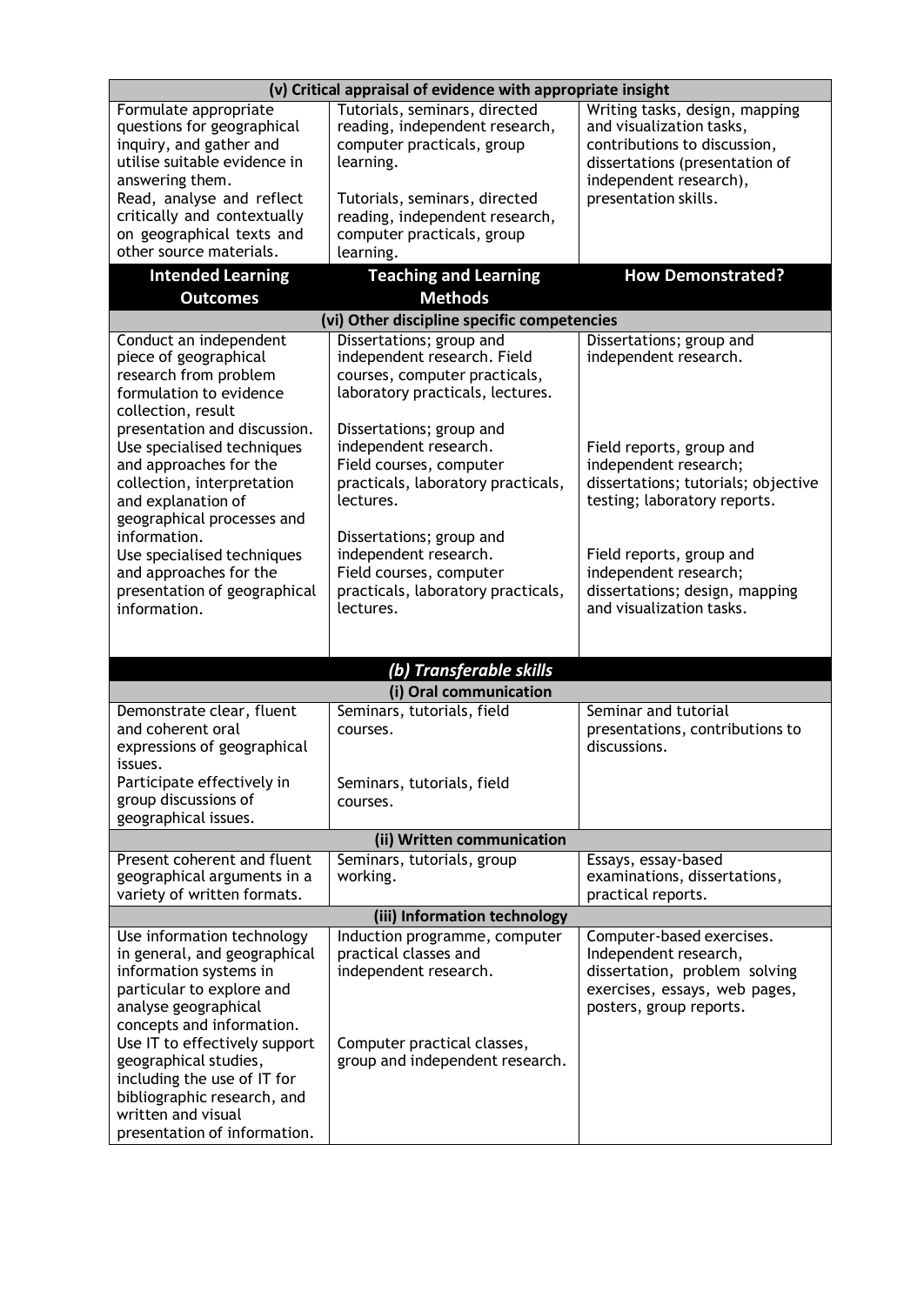|                                                                                                                                                                                                                                                                                                                                                      | (v) Critical appraisal of evidence with appropriate insight                                                                                       |                                                                                                                                                        |  |  |
|------------------------------------------------------------------------------------------------------------------------------------------------------------------------------------------------------------------------------------------------------------------------------------------------------------------------------------------------------|---------------------------------------------------------------------------------------------------------------------------------------------------|--------------------------------------------------------------------------------------------------------------------------------------------------------|--|--|
| Formulate appropriate<br>questions for geographical<br>inquiry, and gather and<br>utilise suitable evidence in<br>answering them.                                                                                                                                                                                                                    | Tutorials, seminars, directed<br>reading, independent research,<br>computer practicals, group<br>learning.                                        | Writing tasks, design, mapping<br>and visualization tasks,<br>contributions to discussion,<br>dissertations (presentation of<br>independent research), |  |  |
| Read, analyse and reflect<br>critically and contextually<br>on geographical texts and<br>other source materials.                                                                                                                                                                                                                                     | Tutorials, seminars, directed<br>reading, independent research,<br>computer practicals, group<br>learning.                                        | presentation skills.                                                                                                                                   |  |  |
| <b>Intended Learning</b>                                                                                                                                                                                                                                                                                                                             | <b>Teaching and Learning</b>                                                                                                                      | <b>How Demonstrated?</b>                                                                                                                               |  |  |
| <b>Outcomes</b>                                                                                                                                                                                                                                                                                                                                      | <b>Methods</b>                                                                                                                                    |                                                                                                                                                        |  |  |
| Conduct an independent                                                                                                                                                                                                                                                                                                                               | (vi) Other discipline specific competencies<br>Dissertations; group and                                                                           | Dissertations; group and                                                                                                                               |  |  |
| piece of geographical<br>research from problem<br>formulation to evidence<br>collection, result                                                                                                                                                                                                                                                      | independent research. Field<br>courses, computer practicals,<br>laboratory practicals, lectures.                                                  | independent research.                                                                                                                                  |  |  |
| presentation and discussion.<br>Use specialised techniques<br>and approaches for the<br>collection, interpretation<br>and explanation of<br>geographical processes and                                                                                                                                                                               | Dissertations; group and<br>independent research.<br>Field courses, computer<br>practicals, laboratory practicals,<br>lectures.                   | Field reports, group and<br>independent research;<br>dissertations; tutorials; objective<br>testing; laboratory reports.                               |  |  |
| information.<br>Use specialised techniques<br>and approaches for the<br>presentation of geographical<br>information.                                                                                                                                                                                                                                 | Dissertations; group and<br>independent research.<br>Field courses, computer<br>practicals, laboratory practicals,<br>lectures.                   | Field reports, group and<br>independent research;<br>dissertations; design, mapping<br>and visualization tasks.                                        |  |  |
|                                                                                                                                                                                                                                                                                                                                                      | (b) Transferable skills                                                                                                                           |                                                                                                                                                        |  |  |
|                                                                                                                                                                                                                                                                                                                                                      | (i) Oral communication                                                                                                                            |                                                                                                                                                        |  |  |
| Demonstrate clear, fluent<br>and coherent oral<br>expressions of geographical<br>issues.                                                                                                                                                                                                                                                             | Seminars, tutorials, field<br>courses.                                                                                                            | Seminar and tutorial<br>presentations, contributions to<br>discussions.                                                                                |  |  |
| Participate effectively in<br>group discussions of<br>geographical issues.                                                                                                                                                                                                                                                                           | Seminars, tutorials, field<br>courses.                                                                                                            |                                                                                                                                                        |  |  |
|                                                                                                                                                                                                                                                                                                                                                      | (ii) Written communication                                                                                                                        |                                                                                                                                                        |  |  |
| Present coherent and fluent<br>geographical arguments in a<br>variety of written formats.                                                                                                                                                                                                                                                            | Seminars, tutorials, group<br>working.                                                                                                            | Essays, essay-based<br>examinations, dissertations,<br>practical reports.                                                                              |  |  |
|                                                                                                                                                                                                                                                                                                                                                      | (iii) Information technology                                                                                                                      |                                                                                                                                                        |  |  |
| Use information technology<br>in general, and geographical<br>information systems in<br>particular to explore and<br>analyse geographical<br>concepts and information.<br>Use IT to effectively support<br>geographical studies,<br>including the use of IT for<br>bibliographic research, and<br>written and visual<br>presentation of information. | Induction programme, computer<br>practical classes and<br>independent research.<br>Computer practical classes,<br>group and independent research. | Computer-based exercises.<br>Independent research,<br>dissertation, problem solving<br>exercises, essays, web pages,<br>posters, group reports.        |  |  |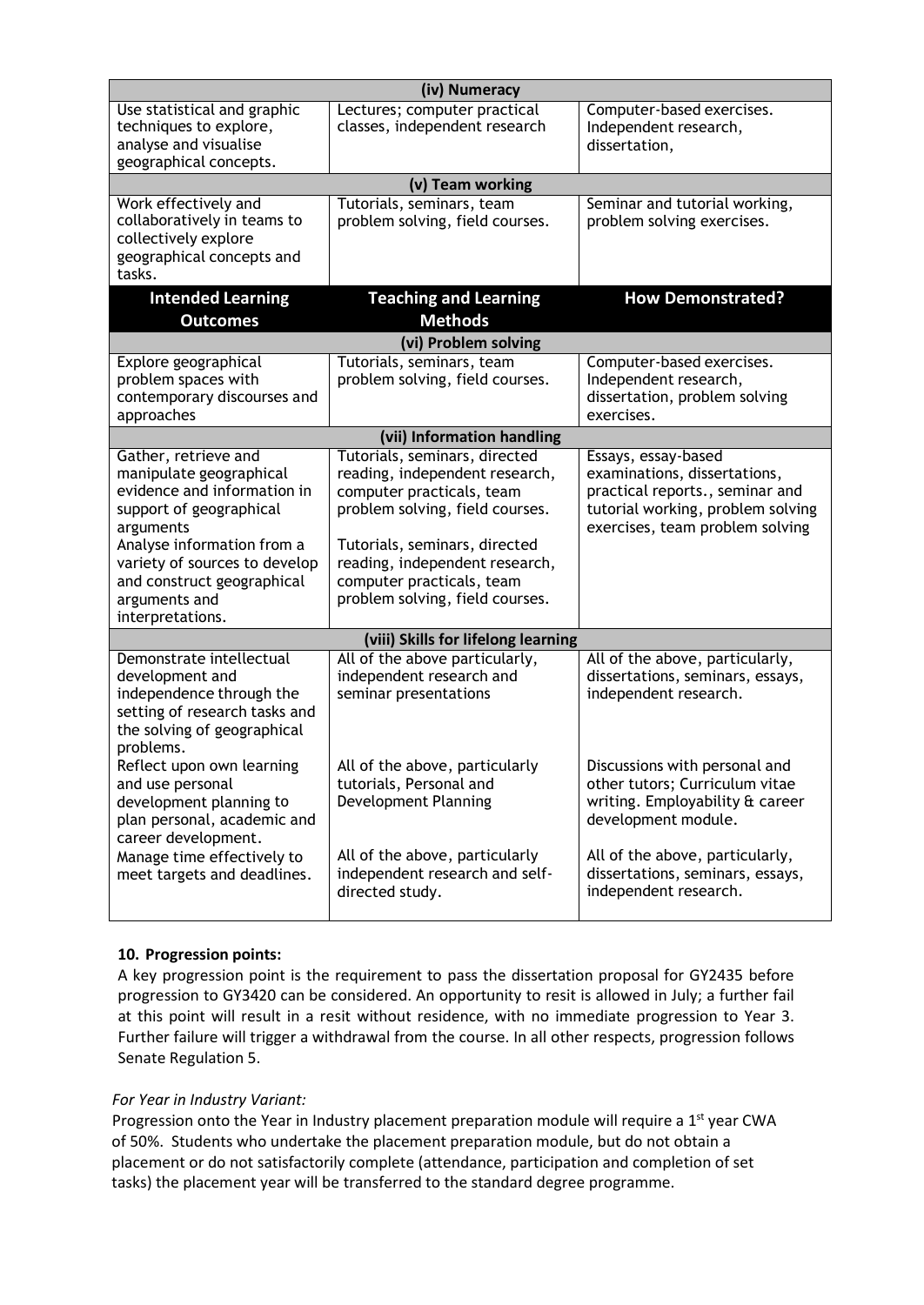| (iv) Numeracy                                                                                                                                                                                                                                            |                                                                                                                                                                                                                                                                    |                                                                                                                                                                |  |  |
|----------------------------------------------------------------------------------------------------------------------------------------------------------------------------------------------------------------------------------------------------------|--------------------------------------------------------------------------------------------------------------------------------------------------------------------------------------------------------------------------------------------------------------------|----------------------------------------------------------------------------------------------------------------------------------------------------------------|--|--|
| Use statistical and graphic<br>techniques to explore,<br>analyse and visualise<br>geographical concepts.                                                                                                                                                 | Lectures; computer practical<br>classes, independent research                                                                                                                                                                                                      | Computer-based exercises.<br>Independent research,<br>dissertation,                                                                                            |  |  |
|                                                                                                                                                                                                                                                          | (v) Team working                                                                                                                                                                                                                                                   |                                                                                                                                                                |  |  |
| Work effectively and<br>collaboratively in teams to<br>collectively explore<br>geographical concepts and<br>tasks.                                                                                                                                       | Tutorials, seminars, team<br>problem solving, field courses.                                                                                                                                                                                                       | Seminar and tutorial working,<br>problem solving exercises.                                                                                                    |  |  |
| <b>Intended Learning</b><br><b>Outcomes</b>                                                                                                                                                                                                              | <b>Teaching and Learning</b><br><b>Methods</b>                                                                                                                                                                                                                     | <b>How Demonstrated?</b>                                                                                                                                       |  |  |
|                                                                                                                                                                                                                                                          | (vi) Problem solving                                                                                                                                                                                                                                               |                                                                                                                                                                |  |  |
| Explore geographical<br>problem spaces with<br>contemporary discourses and<br>approaches                                                                                                                                                                 | Tutorials, seminars, team<br>problem solving, field courses.                                                                                                                                                                                                       | Computer-based exercises.<br>Independent research,<br>dissertation, problem solving<br>exercises.                                                              |  |  |
|                                                                                                                                                                                                                                                          | (vii) Information handling                                                                                                                                                                                                                                         |                                                                                                                                                                |  |  |
| Gather, retrieve and<br>manipulate geographical<br>evidence and information in<br>support of geographical<br>arguments<br>Analyse information from a<br>variety of sources to develop<br>and construct geographical<br>arguments and<br>interpretations. | Tutorials, seminars, directed<br>reading, independent research,<br>computer practicals, team<br>problem solving, field courses.<br>Tutorials, seminars, directed<br>reading, independent research,<br>computer practicals, team<br>problem solving, field courses. | Essays, essay-based<br>examinations, dissertations,<br>practical reports., seminar and<br>tutorial working, problem solving<br>exercises, team problem solving |  |  |
|                                                                                                                                                                                                                                                          | (viii) Skills for lifelong learning                                                                                                                                                                                                                                |                                                                                                                                                                |  |  |
| Demonstrate intellectual<br>development and<br>independence through the<br>setting of research tasks and<br>the solving of geographical<br>problems.                                                                                                     | All of the above particularly,<br>independent research and<br>seminar presentations                                                                                                                                                                                | All of the above, particularly,<br>dissertations, seminars, essays,<br>independent research.                                                                   |  |  |
| Reflect upon own learning<br>and use personal<br>development planning to<br>plan personal, academic and<br>career development.                                                                                                                           | All of the above, particularly<br>tutorials, Personal and<br>Development Planning                                                                                                                                                                                  | Discussions with personal and<br>other tutors; Curriculum vitae<br>writing. Employability & career<br>development module.                                      |  |  |
| Manage time effectively to<br>meet targets and deadlines.                                                                                                                                                                                                | All of the above, particularly<br>independent research and self-<br>directed study.                                                                                                                                                                                | All of the above, particularly,<br>dissertations, seminars, essays,<br>independent research.                                                                   |  |  |

### **10. Progression points:**

A key progression point is the requirement to pass the dissertation proposal for GY2435 before progression to GY3420 can be considered. An opportunity to resit is allowed in July; a further fail at this point will result in a resit without residence, with no immediate progression to Year 3. Further failure will trigger a withdrawal from the course. In all other respects, progression follows Senate Regulation 5.

### *For Year in Industry Variant:*

Progression onto the Year in Industry placement preparation module will require a  $1<sup>st</sup>$  year CWA of 50%. Students who undertake the placement preparation module, but do not obtain a placement or do not satisfactorily complete (attendance, participation and completion of set tasks) the placement year will be transferred to the standard degree programme.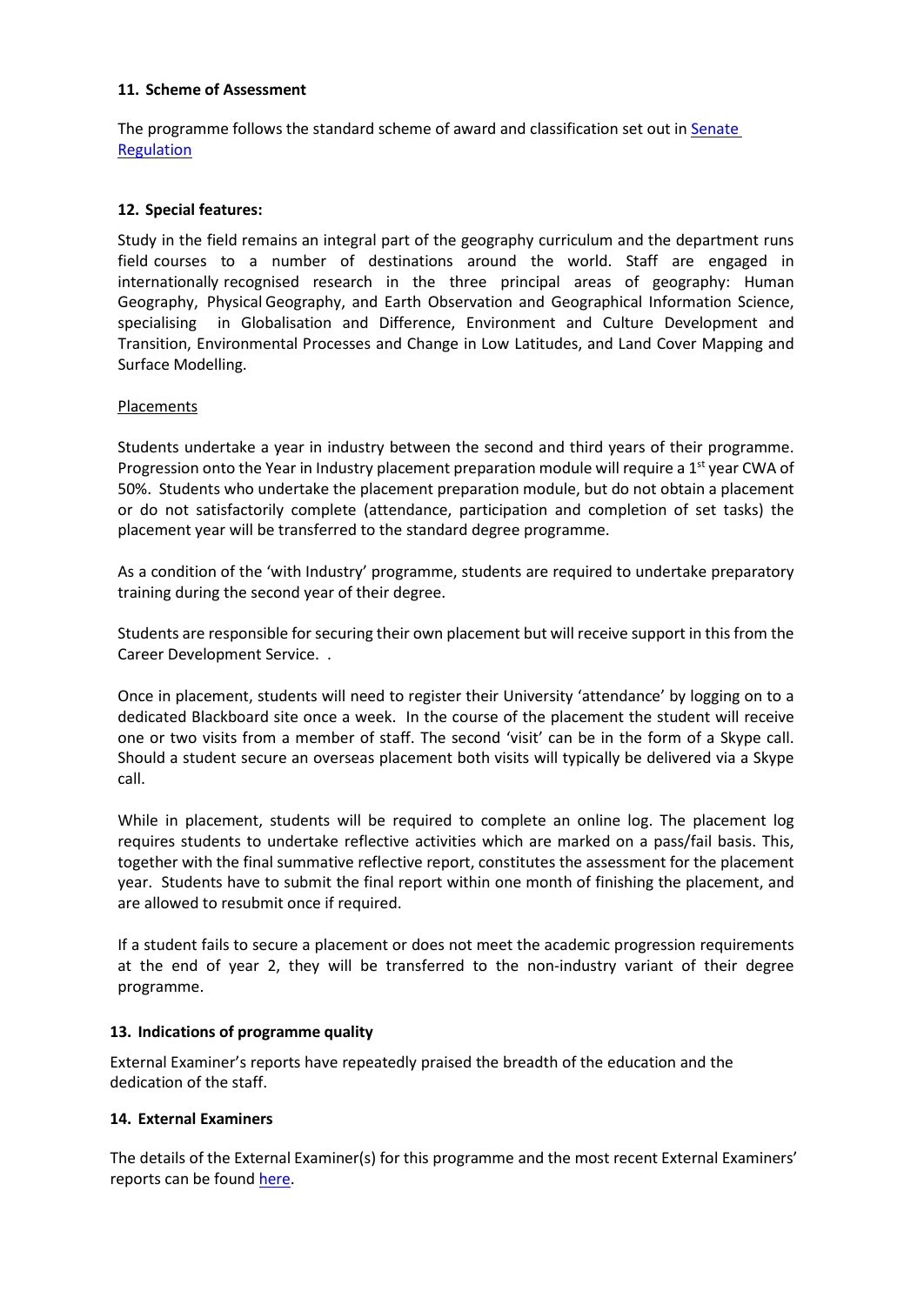### **11. Scheme of Assessment**

The programme follows the standard scheme of award and classification set out in [Senate](http://www2.le.ac.uk/offices/sas2/regulations/general-regulations-for-taught-programmes) [Regulation](http://www2.le.ac.uk/offices/sas2/regulations/general-regulations-for-taught-programmes)

### **12. Special features:**

Study in the field remains an integral part of the geography curriculum and the department runs field courses to a number of destinations around the world. Staff are engaged in internationally recognised research in the three principal areas of geography: Human Geography, Physical Geography, and Earth Observation and Geographical Information Science, specialising in Globalisation and Difference, Environment and Culture Development and Transition, Environmental Processes and Change in Low Latitudes, and Land Cover Mapping and Surface Modelling.

### **Placements**

Students undertake a year in industry between the second and third years of their programme. Progression onto the Year in Industry placement preparation module will require a 1<sup>st</sup> year CWA of 50%. Students who undertake the placement preparation module, but do not obtain a placement or do not satisfactorily complete (attendance, participation and completion of set tasks) the placement year will be transferred to the standard degree programme.

As a condition of the 'with Industry' programme, students are required to undertake preparatory training during the second year of their degree.

Students are responsible for securing their own placement but will receive support in this from the Career Development Service. .

Once in placement, students will need to register their University 'attendance' by logging on to a dedicated Blackboard site once a week. In the course of the placement the student will receive one or two visits from a member of staff. The second 'visit' can be in the form of a Skype call. Should a student secure an overseas placement both visits will typically be delivered via a Skype call.

While in placement, students will be required to complete an online log. The placement log requires students to undertake reflective activities which are marked on a pass/fail basis. This, together with the final summative reflective report, constitutes the assessment for the placement year. Students have to submit the final report within one month of finishing the placement, and are allowed to resubmit once if required.

If a student fails to secure a placement or does not meet the academic progression requirements at the end of year 2, they will be transferred to the non-industry variant of their degree programme.

#### **13. Indications of programme quality**

External Examiner's reports have repeatedly praised the breadth of the education and the dedication of the staff.

#### **14. External Examiners**

The details of the External Examiner(s) for this programme and the most recent External Examiners' reports can be found [here.](https://exampapers.le.ac.uk/xmlui/handle/123456789/287)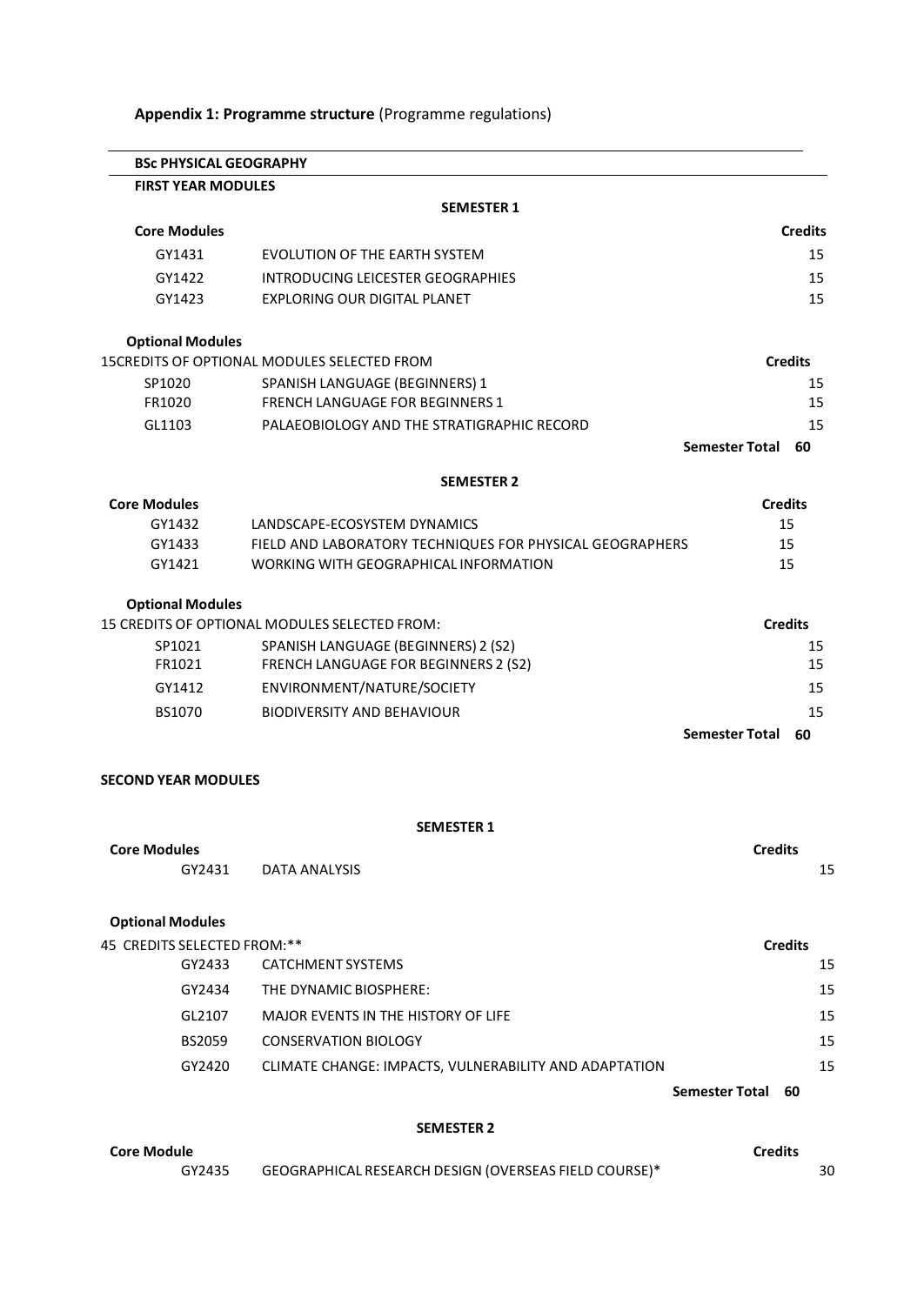| Appendix 1: Programme structure (Programme regulations) |  |  |
|---------------------------------------------------------|--|--|
|---------------------------------------------------------|--|--|

| <b>BSc PHYSICAL GEOGRAPHY</b> |                                                          |                                   |
|-------------------------------|----------------------------------------------------------|-----------------------------------|
| <b>FIRST YEAR MODULES</b>     |                                                          |                                   |
|                               | <b>SEMESTER 1</b>                                        |                                   |
| <b>Core Modules</b>           |                                                          | <b>Credits</b>                    |
| GY1431                        | EVOLUTION OF THE EARTH SYSTEM                            | 15                                |
| GY1422                        | INTRODUCING LEICESTER GEOGRAPHIES                        | 15                                |
| GY1423                        | <b>EXPLORING OUR DIGITAL PLANET</b>                      | 15                                |
| <b>Optional Modules</b>       |                                                          |                                   |
|                               | <b>15CREDITS OF OPTIONAL MODULES SELECTED FROM</b>       | <b>Credits</b>                    |
| SP1020                        | SPANISH LANGUAGE (BEGINNERS) 1                           | 15                                |
| FR1020                        | FRENCH LANGUAGE FOR BEGINNERS 1                          | 15                                |
| GL1103                        | PALAEOBIOLOGY AND THE STRATIGRAPHIC RECORD               | 15<br><b>Semester Total</b><br>60 |
|                               | <b>SEMESTER 2</b>                                        |                                   |
| <b>Core Modules</b>           |                                                          | <b>Credits</b>                    |
| GY1432                        | LANDSCAPE-ECOSYSTEM DYNAMICS                             | 15                                |
| GY1433                        | FIELD AND LABORATORY TECHNIQUES FOR PHYSICAL GEOGRAPHERS | 15                                |
| GY1421                        | WORKING WITH GEOGRAPHICAL INFORMATION                    | 15                                |
| <b>Optional Modules</b>       |                                                          |                                   |
|                               | 15 CREDITS OF OPTIONAL MODULES SELECTED FROM:            | <b>Credits</b>                    |
| SP1021<br>FR1021              | SPANISH LANGUAGE (BEGINNERS) 2 (S2)                      | 15                                |
|                               | FRENCH LANGUAGE FOR BEGINNERS 2 (S2)                     | 15                                |
| GY1412                        | ENVIRONMENT/NATURE/SOCIETY                               | 15                                |
| BS1070                        | <b>BIODIVERSITY AND BEHAVIOUR</b>                        | 15<br><b>Semester Total</b><br>60 |
|                               |                                                          |                                   |
| <b>SECOND YEAR MODULES</b>    |                                                          |                                   |
|                               | <b>SEMESTER 1</b>                                        |                                   |
| <b>Core Modules</b>           |                                                          | <b>Credits</b>                    |
| GY2431                        | DATA ANALYSIS                                            | 15                                |
| <b>Optional Modules</b>       |                                                          |                                   |
| 45 CREDITS SELECTED FROM:**   |                                                          | <b>Credits</b>                    |
| GY2433                        | CATCHMENT SYSTEMS                                        | 15                                |
| GY2434                        | THE DYNAMIC BIOSPHERE:                                   | 15                                |
| GL2107                        | MAJOR EVENTS IN THE HISTORY OF LIFE                      | 15                                |
| <b>BS2059</b>                 | <b>CONSERVATION BIOLOGY</b>                              | 15                                |
| GY2420                        | CLIMATE CHANGE: IMPACTS, VULNERABILITY AND ADAPTATION    | 15                                |
|                               |                                                          | <b>Semester Total</b><br>60       |
|                               |                                                          |                                   |

### **SEMESTER 2**

| <b>Core Module</b> |                                                       | <b>Credits</b> |
|--------------------|-------------------------------------------------------|----------------|
| GY2435             | GEOGRAPHICAL RESEARCH DESIGN (OVERSEAS FIELD COURSE)* | 30             |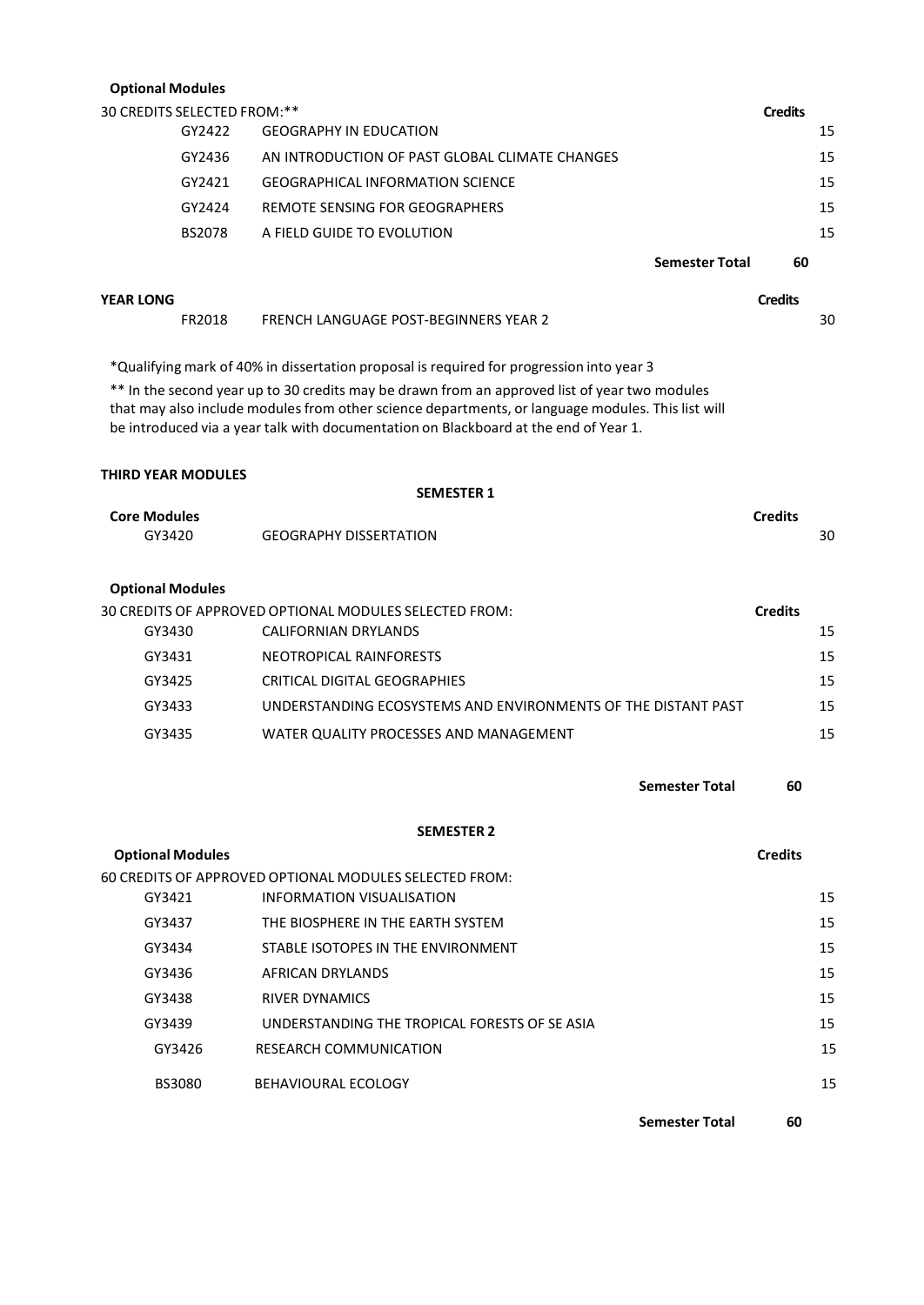### **Optional Modules**

| 30 CREDITS SELECTED FROM:** |                                                |                       | <b>Credits</b> |
|-----------------------------|------------------------------------------------|-----------------------|----------------|
| GY2422                      | <b>GEOGRAPHY IN EDUCATION</b>                  |                       | 15             |
| GY2436                      | AN INTRODUCTION OF PAST GLOBAL CLIMATE CHANGES |                       | 15             |
| GY2421                      | <b>GEOGRAPHICAL INFORMATION SCIENCE</b>        |                       | 15             |
| GY2424                      | REMOTE SENSING FOR GEOGRAPHERS                 |                       | 15             |
| <b>BS2078</b>               | A FIELD GUIDE TO EVOLUTION                     |                       | 15             |
|                             |                                                | <b>Semester Total</b> | 60             |

| YEAR LONG |                                       | Credits |    |
|-----------|---------------------------------------|---------|----|
| FR2018    | FRENCH LANGUAGE POST-BEGINNERS YEAR 2 |         | 30 |

\*Qualifying mark of 40% in dissertation proposal is required for progression into year 3

\*\* In the second year up to 30 credits may be drawn from an approved list of year two modules that may also include modules from other science departments, or language modules. This list will be introduced via a year talk with documentation on Blackboard at the end of Year 1.

#### **THIRD YEAR MODULES**

|                               | <b>SEMESTER 1</b>                                      |                      |
|-------------------------------|--------------------------------------------------------|----------------------|
| <b>Core Modules</b><br>GY3420 | <b>GEOGRAPHY DISSERTATION</b>                          | <b>Credits</b><br>30 |
| <b>Optional Modules</b>       |                                                        |                      |
|                               | 30 CREDITS OF APPROVED OPTIONAL MODULES SELECTED FROM: | <b>Credits</b>       |
| GVRAJO                        | CALIFORNIAN DRVI ANDS                                  | 15                   |

| GY3430 | CALIFORNIAN DRYLANDS                                          | 15 |
|--------|---------------------------------------------------------------|----|
| GY3431 | NEOTROPICAL RAINFORESTS                                       | 15 |
| GY3425 | CRITICAL DIGITAL GEOGRAPHIES                                  | 15 |
| GY3433 | UNDERSTANDING ECOSYSTEMS AND ENVIRONMENTS OF THE DISTANT PAST | 15 |
| GY3435 | WATER QUALITY PROCESSES AND MANAGEMENT                        | 15 |

**Semester Total 60**

#### **SEMESTER 2**

| <b>Optional Modules</b> |                                                        | <b>Credits</b> |
|-------------------------|--------------------------------------------------------|----------------|
|                         | 60 CREDITS OF APPROVED OPTIONAL MODULES SELECTED FROM: |                |
| GY3421                  | INFORMATION VISUALISATION                              | 15             |
| GY3437                  | THE BIOSPHERE IN THE EARTH SYSTEM                      | 15             |
| GY3434                  | STABLE ISOTOPES IN THE ENVIRONMENT                     | 15             |
| GY3436                  | AFRICAN DRYLANDS                                       | 15             |
| GY3438                  | <b>RIVER DYNAMICS</b>                                  | 15             |
| GY3439                  | UNDERSTANDING THE TROPICAL FORESTS OF SE ASIA          | 15             |
| GY3426                  | <b>RESEARCH COMMUNICATION</b>                          | 15             |
| <b>BS3080</b>           | BEHAVIOURAL ECOLOGY                                    | 15             |
|                         |                                                        |                |

**Semester Total 60**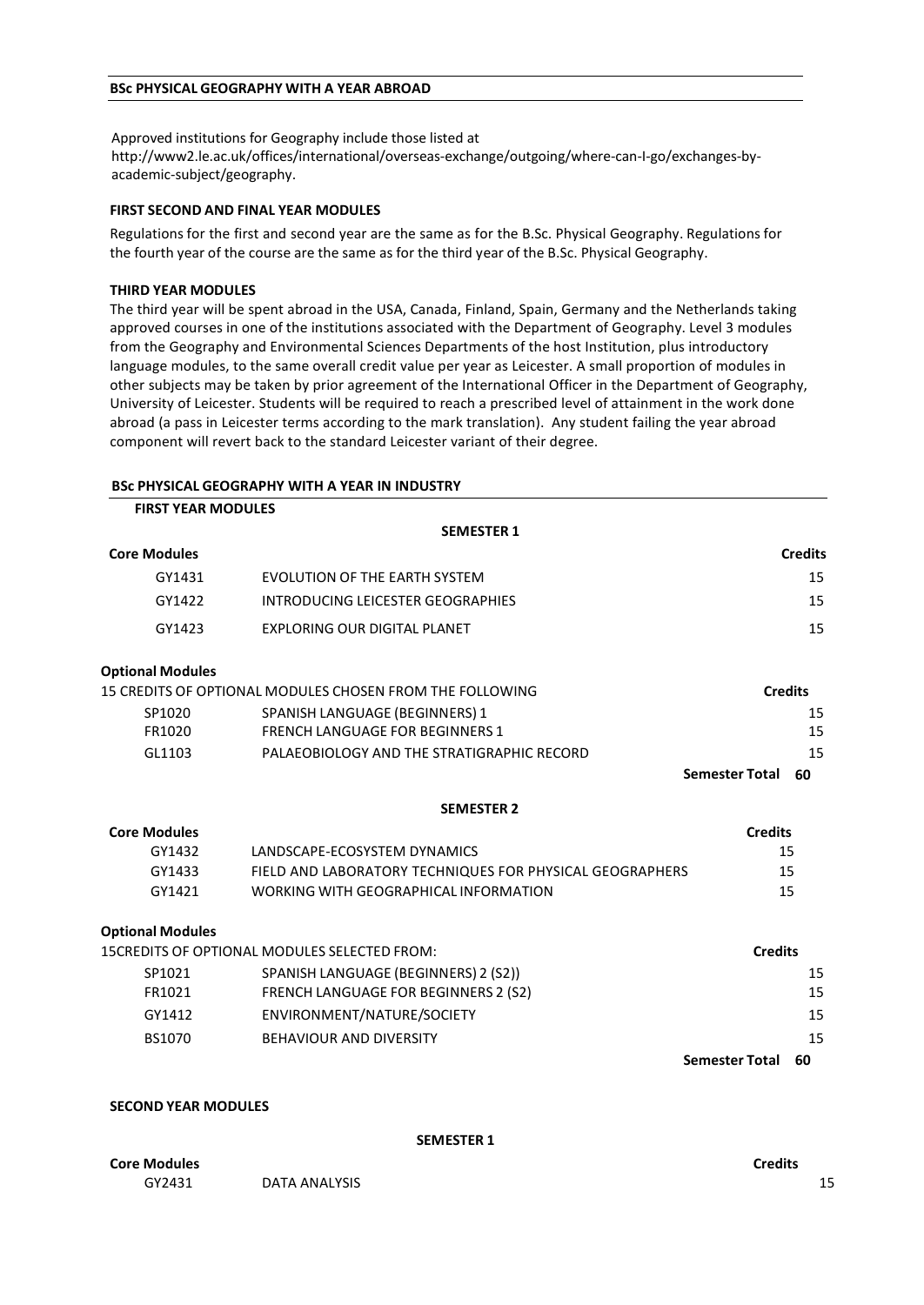#### **BSc PHYSICAL GEOGRAPHY WITH A YEAR ABROAD**

Approved institutions for Geography include those listed at http://www2.le.ac.uk/offices/international/overseas-exchange/outgoing/where-can-I-go/exchanges-byacademic-subject/geography.

#### **FIRST SECOND AND FINAL YEAR MODULES**

Regulations for the first and second year are the same as for the B.Sc. Physical Geography. Regulations for the fourth year of the course are the same as for the third year of the B.Sc. Physical Geography.

#### **THIRD YEAR MODULES**

The third year will be spent abroad in the USA, Canada, Finland, Spain, Germany and the Netherlands taking approved courses in one of the institutions associated with the Department of Geography. Level 3 modules from the Geography and Environmental Sciences Departments of the host Institution, plus introductory language modules, to the same overall credit value per year as Leicester. A small proportion of modules in other subjects may be taken by prior agreement of the International Officer in the Department of Geography, University of Leicester. Students will be required to reach a prescribed level of attainment in the work done abroad (a pass in Leicester terms according to the mark translation). Any student failing the year abroad component will revert back to the standard Leicester variant of their degree.

#### **BSc PHYSICAL GEOGRAPHY WITH A YEAR IN INDUSTRY**

| <b>FIRST YEAR MODULES</b> |                                                          |                       |                |
|---------------------------|----------------------------------------------------------|-----------------------|----------------|
|                           | <b>SEMESTER 1</b>                                        |                       |                |
| <b>Core Modules</b>       |                                                          |                       | <b>Credits</b> |
| GY1431                    | <b>EVOLUTION OF THE EARTH SYSTEM</b>                     |                       | 15             |
| GY1422                    | <b>INTRODUCING LEICESTER GEOGRAPHIES</b>                 |                       | 15             |
| GY1423                    | <b>EXPLORING OUR DIGITAL PLANET</b>                      |                       | 15             |
| <b>Optional Modules</b>   |                                                          |                       |                |
|                           | 15 CREDITS OF OPTIONAL MODULES CHOSEN FROM THE FOLLOWING | <b>Credits</b>        |                |
| SP1020                    | SPANISH LANGUAGE (BEGINNERS) 1                           |                       | 15             |
| FR1020                    | <b>FRENCH LANGUAGE FOR BEGINNERS 1</b>                   |                       | 15             |
| GL1103                    | PALAEOBIOLOGY AND THE STRATIGRAPHIC RECORD               |                       | 15             |
|                           |                                                          | <b>Semester Total</b> | 60             |
|                           | <b>SEMESTER 2</b>                                        |                       |                |
| <b>Core Modules</b>       |                                                          | <b>Credits</b>        |                |
| GY1432                    | LANDSCAPE-ECOSYSTEM DYNAMICS                             | 15                    |                |
| GY1433                    | FIELD AND LABORATORY TECHNIQUES FOR PHYSICAL GEOGRAPHERS | 15                    |                |
| GY1421                    | WORKING WITH GEOGRAPHICAL INFORMATION                    | 15                    |                |
| <b>Optional Modules</b>   |                                                          |                       |                |
|                           | 15CREDITS OF OPTIONAL MODULES SELECTED FROM:             | <b>Credits</b>        |                |
| SP1021                    | SPANISH LANGUAGE (BEGINNERS) 2 (S2))                     |                       | 15             |
| FR1021                    | FRENCH LANGUAGE FOR BEGINNERS 2 (S2)                     |                       | 15             |
| GY1412                    | ENVIRONMENT/NATURE/SOCIETY                               |                       | 15             |
| BS1070                    | <b>BEHAVIOUR AND DIVERSITY</b>                           |                       | 15             |
|                           |                                                          | <b>Semester Total</b> | 60             |
|                           |                                                          |                       |                |

#### **SECOND YEAR MODULES**

#### **SEMESTER 1**

| <b>Core Modules</b> |               | Credits |  |
|---------------------|---------------|---------|--|
| GY2431              | DATA ANALYSIS |         |  |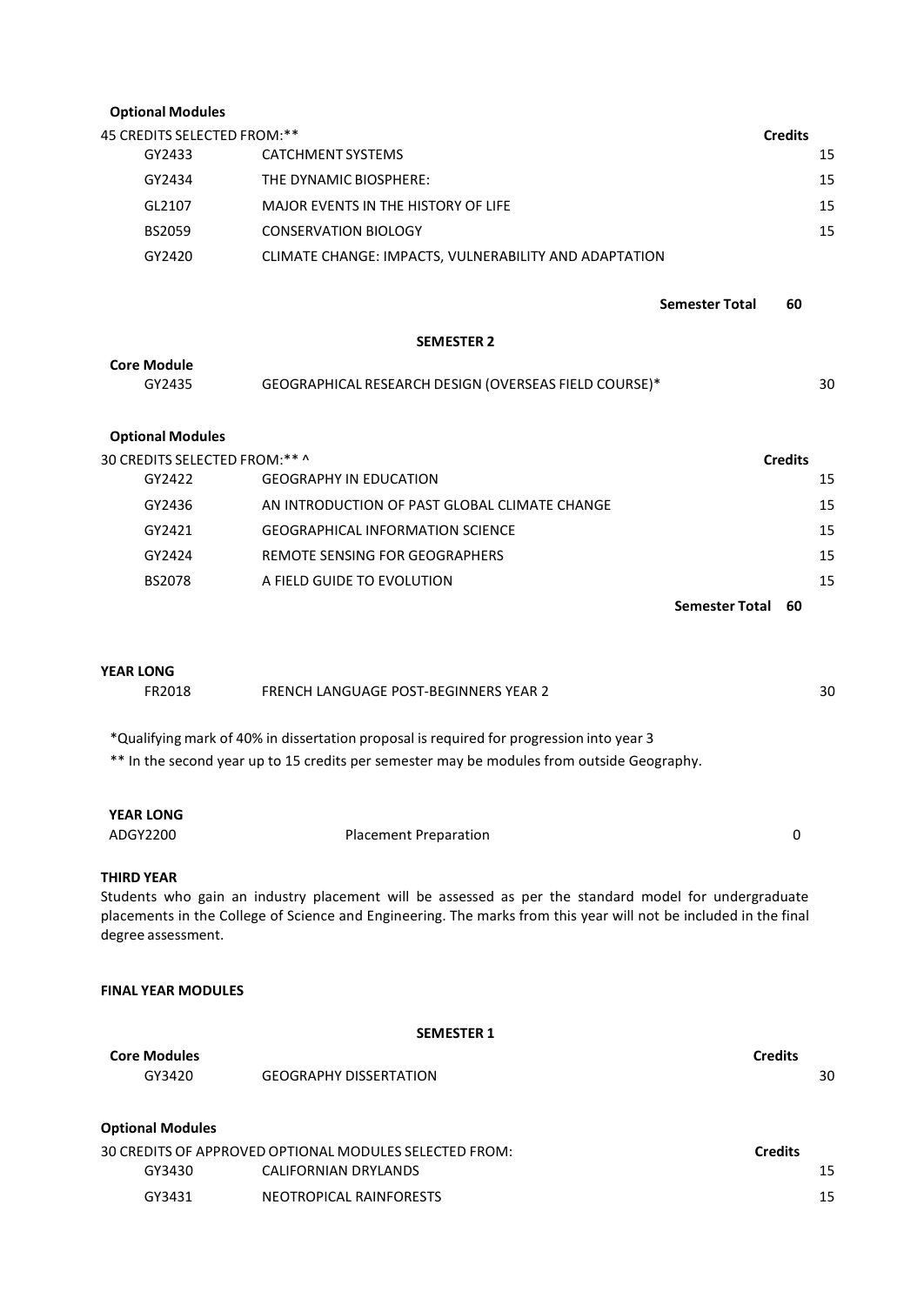| <b>Optional Modules</b>       |                                                                                                                                                                                                                          |                |    |  |  |
|-------------------------------|--------------------------------------------------------------------------------------------------------------------------------------------------------------------------------------------------------------------------|----------------|----|--|--|
| 45 CREDITS SELECTED FROM:**   |                                                                                                                                                                                                                          | <b>Credits</b> |    |  |  |
| GY2433                        | CATCHMENT SYSTEMS                                                                                                                                                                                                        |                | 15 |  |  |
| GY2434                        | THE DYNAMIC BIOSPHERE:                                                                                                                                                                                                   |                | 15 |  |  |
| GL2107                        | <b>MAJOR EVENTS IN THE HISTORY OF LIFE</b>                                                                                                                                                                               |                | 15 |  |  |
| <b>BS2059</b>                 | <b>CONSERVATION BIOLOGY</b>                                                                                                                                                                                              |                | 15 |  |  |
| GY2420                        | CLIMATE CHANGE: IMPACTS, VULNERABILITY AND ADAPTATION                                                                                                                                                                    |                |    |  |  |
|                               |                                                                                                                                                                                                                          |                |    |  |  |
|                               | <b>Semester Total</b>                                                                                                                                                                                                    | 60             |    |  |  |
|                               | <b>SEMESTER 2</b>                                                                                                                                                                                                        |                |    |  |  |
| <b>Core Module</b>            |                                                                                                                                                                                                                          |                |    |  |  |
| GY2435                        | GEOGRAPHICAL RESEARCH DESIGN (OVERSEAS FIELD COURSE)*                                                                                                                                                                    |                | 30 |  |  |
|                               |                                                                                                                                                                                                                          |                |    |  |  |
| <b>Optional Modules</b>       |                                                                                                                                                                                                                          |                |    |  |  |
| 30 CREDITS SELECTED FROM:** ^ |                                                                                                                                                                                                                          | <b>Credits</b> |    |  |  |
| GY2422                        | <b>GEOGRAPHY IN EDUCATION</b>                                                                                                                                                                                            |                | 15 |  |  |
| GY2436                        | AN INTRODUCTION OF PAST GLOBAL CLIMATE CHANGE                                                                                                                                                                            |                | 15 |  |  |
| GY2421                        | <b>GEOGRAPHICAL INFORMATION SCIENCE</b>                                                                                                                                                                                  |                | 15 |  |  |
| GY2424                        | <b>REMOTE SENSING FOR GEOGRAPHERS</b>                                                                                                                                                                                    |                | 15 |  |  |
| BS2078                        | A FIELD GUIDE TO EVOLUTION                                                                                                                                                                                               |                | 15 |  |  |
|                               | <b>Semester Total</b>                                                                                                                                                                                                    | 60             |    |  |  |
|                               |                                                                                                                                                                                                                          |                |    |  |  |
| <b>YEAR LONG</b>              |                                                                                                                                                                                                                          |                |    |  |  |
| FR2018                        | FRENCH LANGUAGE POST-BEGINNERS YEAR 2                                                                                                                                                                                    |                | 30 |  |  |
|                               | *Qualifying mark of 40% in dissertation proposal is required for progression into year 3                                                                                                                                 |                |    |  |  |
|                               | ** In the second year up to 15 credits per semester may be modules from outside Geography.                                                                                                                               |                |    |  |  |
|                               |                                                                                                                                                                                                                          |                |    |  |  |
| <b>YEAR LONG</b>              |                                                                                                                                                                                                                          |                |    |  |  |
| ADGY2200                      | <b>Placement Preparation</b>                                                                                                                                                                                             | 0              |    |  |  |
|                               |                                                                                                                                                                                                                          |                |    |  |  |
| <b>THIRD YEAR</b>             |                                                                                                                                                                                                                          |                |    |  |  |
|                               | Students who gain an industry placement will be assessed as per the standard model for undergraduate<br>placements in the College of Science and Engineering. The marks from this year will not be included in the final |                |    |  |  |
| degree assessment.            |                                                                                                                                                                                                                          |                |    |  |  |
|                               |                                                                                                                                                                                                                          |                |    |  |  |
| <b>FINAL YEAR MODULES</b>     |                                                                                                                                                                                                                          |                |    |  |  |
|                               |                                                                                                                                                                                                                          |                |    |  |  |
|                               | <b>SEMESTER 1</b>                                                                                                                                                                                                        |                |    |  |  |
| <b>Core Modules</b><br>GY3420 | <b>GEOGRAPHY DISSERTATION</b>                                                                                                                                                                                            | <b>Credits</b> | 30 |  |  |
|                               |                                                                                                                                                                                                                          |                |    |  |  |

| <b>Optional Modules</b>                                |                         |                |  |
|--------------------------------------------------------|-------------------------|----------------|--|
| 30 CREDITS OF APPROVED OPTIONAL MODULES SELECTED FROM: |                         | <b>Credits</b> |  |
| GY3430                                                 | CALIFORNIAN DRYLANDS    | 15             |  |
| GY3431                                                 | NEOTROPICAL RAINFORESTS | 15             |  |